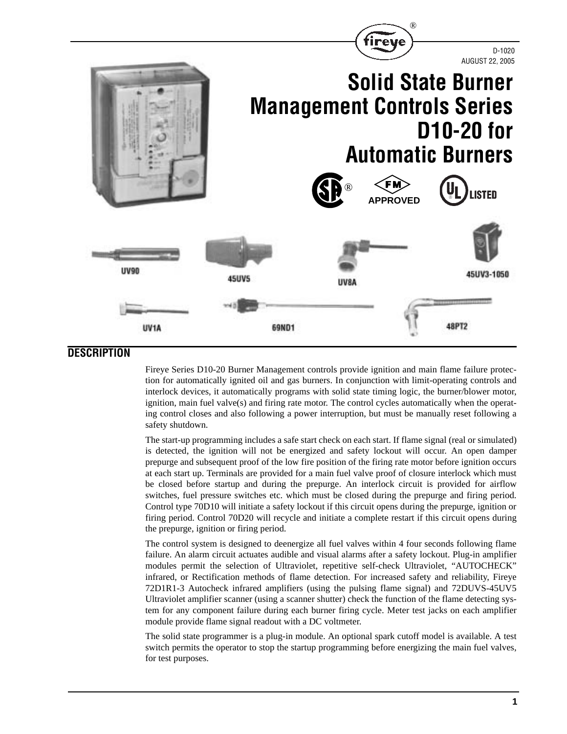

### **DESCRIPTION**

Fireye Series D10-20 Burner Management controls provide ignition and main flame failure protection for automatically ignited oil and gas burners. In conjunction with limit-operating controls and interlock devices, it automatically programs with solid state timing logic, the burner/blower motor, ignition, main fuel valve(s) and firing rate motor. The control cycles automatically when the operating control closes and also following a power interruption, but must be manually reset following a safety shutdown.

The start-up programming includes a safe start check on each start. If flame signal (real or simulated) is detected, the ignition will not be energized and safety lockout will occur. An open damper prepurge and subsequent proof of the low fire position of the firing rate motor before ignition occurs at each start up. Terminals are provided for a main fuel valve proof of closure interlock which must be closed before startup and during the prepurge. An interlock circuit is provided for airflow switches, fuel pressure switches etc. which must be closed during the prepurge and firing period. Control type 70D10 will initiate a safety lockout if this circuit opens during the prepurge, ignition or firing period. Control 70D20 will recycle and initiate a complete restart if this circuit opens during the prepurge, ignition or firing period.

The control system is designed to deenergize all fuel valves within 4 four seconds following flame failure. An alarm circuit actuates audible and visual alarms after a safety lockout. Plug-in amplifier modules permit the selection of Ultraviolet, repetitive self-check Ultraviolet, "AUTOCHECK" infrared, or Rectification methods of flame detection. For increased safety and reliability, Fireye 72D1R1-3 Autocheck infrared amplifiers (using the pulsing flame signal) and 72DUVS-45UV5 Ultraviolet amplifier scanner (using a scanner shutter) check the function of the flame detecting system for any component failure during each burner firing cycle. Meter test jacks on each amplifier module provide flame signal readout with a DC voltmeter.

The solid state programmer is a plug-in module. An optional spark cutoff model is available. A test switch permits the operator to stop the startup programming before energizing the main fuel valves, for test purposes.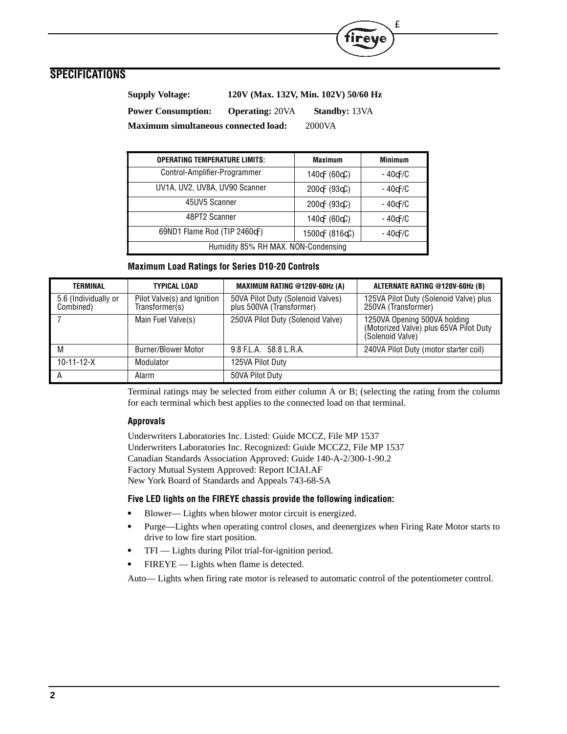

| <b>Supply Voltage:</b>                      |                        | 120V (Max. 132V, Min. 102V) 50/60 Hz |
|---------------------------------------------|------------------------|--------------------------------------|
| <b>Power Consumption:</b>                   | <b>Operating: 20VA</b> | <b>Standby: 13VA</b>                 |
| <b>Maximum simultaneous connected load:</b> |                        | 2000VA                               |

| <b>OPERATING TEMPERATURE LIMITS:</b> | <b>Maximum</b>                  | <b>Minimum</b>    |
|--------------------------------------|---------------------------------|-------------------|
| Control-Amplifier-Programmer         | 140 $\forall$ (60 $\forall$ C)  | -40 VF/C          |
| UV1A, UV2, UV8A, UV90 Scanner        | $200 \text{F} (93 \text{C})$    | $-40$ $\times$ /C |
| 45UV5 Scanner                        | $200 \text{F} (93 \text{C})$    | -40 VF/C          |
| 48PT2 Scanner                        | 140 $\forall$ (60 $\forall$ C)  | $-40$ $\times$ /C |
| 69ND1 Flame Rod (TIP 2460\F)         | 1500 $\forall$ (816 $\forall$ ) | -40 VF/C          |
| Humidity 85% RH MAX. NON-Condensing  |                                 |                   |

T<sub>M</sub>

#### **Maximum Load Ratings for Series D10-20 Controls**

| TERMINAL                          | <b>TYPICAL LOAD</b>                           | <b>MAXIMUM RATING @120V-60Hz (A)</b>                          | ALTERNATE RATING @120V-60Hz (B)                                                            |
|-----------------------------------|-----------------------------------------------|---------------------------------------------------------------|--------------------------------------------------------------------------------------------|
| 5.6 (Individually or<br>Combined) | Pilot Valve(s) and Ignition<br>Transformer(s) | 50VA Pilot Duty (Solenoid Valves)<br>plus 500VA (Transformer) | 125VA Pilot Duty (Solenoid Valve) plus<br>250VA (Transformer)                              |
|                                   | Main Fuel Valve(s)                            | 250VA Pilot Duty (Solenoid Valve)                             | 1250VA Opening 500VA holding<br>(Motorized Valve) plus 65VA Pilot Duty<br>(Solenoid Valve) |
| M                                 | <b>Burner/Blower Motor</b>                    | 9.8 F.L.A. 58.8 L.R.A.                                        | 240VA Pilot Duty (motor starter coil)                                                      |
| $10 - 11 - 12 - X$                | Modulator                                     | 125VA Pilot Duty                                              |                                                                                            |
| А                                 | Alarm                                         | 50VA Pilot Duty                                               |                                                                                            |

Terminal ratings may be selected from either column A or B; (selecting the rating from the column for each terminal which best applies to the connected load on that terminal.

#### **Approvals**

Underwriters Laboratories Inc. Listed: Guide MCCZ, File MP 1537 Underwriters Laboratories Inc. Recognized: Guide MCCZ2, File MP 1537 Canadian Standards Association Approved: Guide 140-A-2/300-1-90.2 Factory Mutual System Approved: Report ICIAI.AF New York Board of Standards and Appeals 743-68-SA

### **Five LED lights on the FIREYE chassis provide the following indication:**

- **•** Blower— Lights when blower motor circuit is energized.
- **•** Purge—Lights when operating control closes, and deenergizes when Firing Rate Motor starts to drive to low fire start position.
- **•** TFI Lights during Pilot trial-for-ignition period.
- **•** FIREYE Lights when flame is detected.

Auto— Lights when firing rate motor is released to automatic control of the potentiometer control.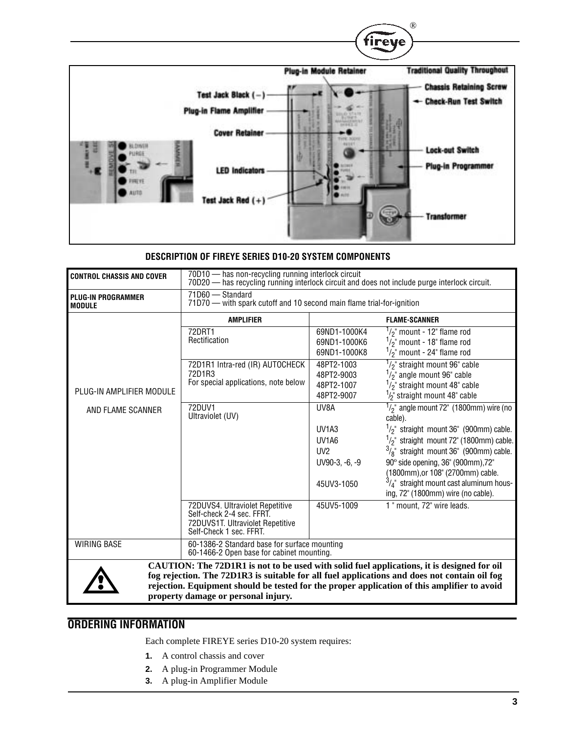

### **DESCRIPTION OF FIREYE SERIES D10-20 SYSTEM COMPONENTS**

| <b>CONTROL CHASSIS AND COVER</b>           | 70D10 - has non-recycling running interlock circuit<br>70D20 - has recycling running interlock circuit and does not include purge interlock circuit.                                                                                                                                                                             |                                                                          |                                                                                                                                                                                                                        |
|--------------------------------------------|----------------------------------------------------------------------------------------------------------------------------------------------------------------------------------------------------------------------------------------------------------------------------------------------------------------------------------|--------------------------------------------------------------------------|------------------------------------------------------------------------------------------------------------------------------------------------------------------------------------------------------------------------|
| <b>PLUG-IN PROGRAMMER</b><br><b>MODULE</b> | 71D60 - Standard<br>71D70 - with spark cutoff and 10 second main flame trial-for-ignition                                                                                                                                                                                                                                        |                                                                          |                                                                                                                                                                                                                        |
|                                            | <b>AMPLIFIER</b>                                                                                                                                                                                                                                                                                                                 |                                                                          | <b>FLAME-SCANNER</b>                                                                                                                                                                                                   |
|                                            | 72DRT1<br>Rectification                                                                                                                                                                                                                                                                                                          | 69ND1-1000K4<br>69ND1-1000K6<br>69ND1-1000K8                             | $\frac{1}{2}$ mount - 12" flame rod<br>$\frac{1}{2}$ mount - 18" flame rod<br>$\frac{1}{2}$ " mount - 24" flame rod                                                                                                    |
| PLUG-IN AMPLIFIER MODULE                   | 72D1R1 Intra-red (IR) AUTOCHECK<br>72D1R3<br>For special applications, note below                                                                                                                                                                                                                                                | 48PT2-1003<br>48PT2-9003<br>48PT2-1007<br>48PT2-9007                     | $1/2$ straight mount 96" cable<br>$1/2$ angle mount 96" cable<br>$\frac{1}{2}$ straight mount 48" cable<br>$\frac{1}{2}$ straight mount 48" cable                                                                      |
| AND FLAME SCANNER                          | 72DUV1<br>Ultraviolet (UV)                                                                                                                                                                                                                                                                                                       | UV8A<br>UV <sub>1</sub> A <sub>3</sub><br>UV <sub>1</sub> A <sub>6</sub> | $1/2$ " angle mount 72" (1800mm) wire (no<br>cable).<br>$1/2$ " straight mount 36" (900mm) cable.<br>$1/2$ " straight mount 72" (1800mm) cable.                                                                        |
|                                            |                                                                                                                                                                                                                                                                                                                                  | UV <sub>2</sub><br>$UV90-3, -6, -9$<br>45UV3-1050                        | $\frac{3}{8}$ straight mount 36" (900mm) cable.<br>90° side opening, 36" (900mm), 72"<br>(1800mm), or 108" (2700mm) cable.<br>$\frac{3}{4}$ " straight mount cast aluminum hous-<br>ing, 72" (1800mm) wire (no cable). |
|                                            | 72DUVS4. Ultraviolet Repetitive<br>Self-check 2-4 sec. FFRT.<br>72DUVS1T. Ultraviolet Repetitive<br>Self-Check 1 sec. FFRT.                                                                                                                                                                                                      | 45UV5-1009                                                               | 1 " mount, 72" wire leads.                                                                                                                                                                                             |
| <b>WIRING BASE</b>                         | 60-1386-2 Standard base for surface mounting<br>60-1466-2 Open base for cabinet mounting.                                                                                                                                                                                                                                        |                                                                          |                                                                                                                                                                                                                        |
|                                            | CAUTION: The 72D1R1 is not to be used with solid fuel applications, it is designed for oil<br>fog rejection. The 72D1R3 is suitable for all fuel applications and does not contain oil fog<br>rejection. Equipment should be tested for the proper application of this amplifier to avoid<br>property damage or personal injury. |                                                                          |                                                                                                                                                                                                                        |

# **ORDERING INFORMATION**

Each complete FIREYE series D10-20 system requires:

- **1.** A control chassis and cover
- **2.** A plug-in Programmer Module
- **3.** A plug-in Amplifier Module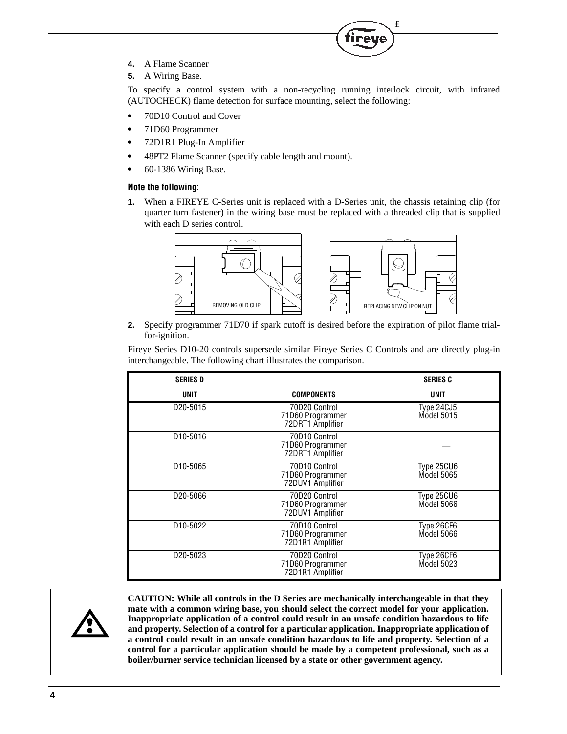- **4.** A Flame Scanner
- **5.** A Wiring Base.

To specify a control system with a non-recycling running interlock circuit, with infrared (AUTOCHECK) flame detection for surface mounting, select the following:

T<sub>M</sub>

- **•** 70D10 Control and Cover
- **•** 71D60 Programmer
- **•** 72D1R1 Plug-In Amplifier
- **•** 48PT2 Flame Scanner (specify cable length and mount).
- **•** 60-1386 Wiring Base.

#### **Note the following:**

**1.** When a FIREYE C-Series unit is replaced with a D-Series unit, the chassis retaining clip (for quarter turn fastener) in the wiring base must be replaced with a threaded clip that is supplied with each D series control.



**2.** Specify programmer 71D70 if spark cutoff is desired before the expiration of pilot flame trialfor-ignition.

Fireye Series D10-20 controls supersede similar Fireye Series C Controls and are directly plug-in interchangeable. The following chart illustrates the comparison.

| <b>SERIES D</b>       |                                                       | <b>SERIES C</b>          |
|-----------------------|-------------------------------------------------------|--------------------------|
| UNIT                  | <b>COMPONENTS</b>                                     | <b>UNIT</b>              |
| D <sub>20</sub> -5015 | 70D20 Control<br>71D60 Programmer<br>72DRT1 Amplifier | Type 24CJ5<br>Model 5015 |
| D <sub>10</sub> -5016 | 70D10 Control<br>71D60 Programmer<br>72DRT1 Amplifier |                          |
| D <sub>10</sub> -5065 | 70D10 Control<br>71D60 Programmer<br>72DUV1 Amplifier | Type 25CU6<br>Model 5065 |
| D <sub>20</sub> -5066 | 70D20 Control<br>71D60 Programmer<br>72DUV1 Amplifier | Type 25CU6<br>Model 5066 |
| D <sub>10</sub> -5022 | 70D10 Control<br>71D60 Programmer<br>72D1R1 Amplifier | Type 26CF6<br>Model 5066 |
| D <sub>20</sub> -5023 | 70D20 Control<br>71D60 Programmer<br>72D1R1 Amplifier | Type 26CF6<br>Model 5023 |



**CAUTION: While all controls in the D Series are mechanically interchangeable in that they mate with a common wiring base, you should select the correct model for your application. Inappropriate application of a control could result in an unsafe condition hazardous to life and property. Selection of a control for a particular application. Inappropriate application of a control could result in an unsafe condition hazardous to life and property. Selection of a control for a particular application should be made by a competent professional, such as a boiler/burner service technician licensed by a state or other government agency.**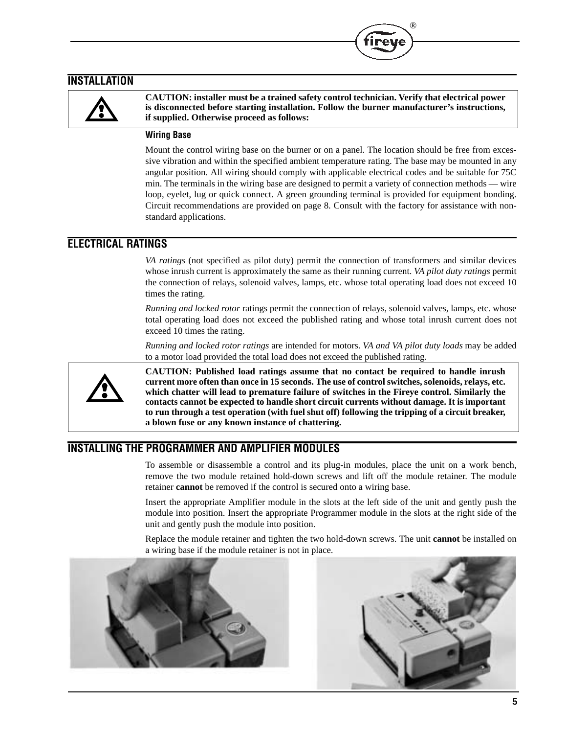### **INSTALLATION**



**CAUTION: installer must be a trained safety control technician. Verify that electrical power is disconnected before starting installation. Follow the burner manufacturer's instructions, if supplied. Otherwise proceed as follows:**

®

### **Wiring Base**

Mount the control wiring base on the burner or on a panel. The location should be free from excessive vibration and within the specified ambient temperature rating. The base may be mounted in any angular position. All wiring should comply with applicable electrical codes and be suitable for 75C min. The terminals in the wiring base are designed to permit a variety of connection methods — wire loop, eyelet, lug or quick connect. A green grounding terminal is provided for equipment bonding. Circuit recommendations are provided on page 8. Consult with the factory for assistance with nonstandard applications.

### **ELECTRICAL RATINGS**

*VA ratings* (not specified as pilot duty) permit the connection of transformers and similar devices whose inrush current is approximately the same as their running current. *VA pilot duty ratings* permit the connection of relays, solenoid valves, lamps, etc. whose total operating load does not exceed 10 times the rating.

*Running and locked rotor* ratings permit the connection of relays, solenoid valves, lamps, etc. whose total operating load does not exceed the published rating and whose total inrush current does not exceed 10 times the rating.

*Running and locked rotor ratings* are intended for motors. *VA and VA pilot duty loads* may be added to a motor load provided the total load does not exceed the published rating.



**CAUTION: Published load ratings assume that no contact be required to handle inrush current more often than once in 15 seconds. The use of control switches, solenoids, relays, etc. which chatter will lead to premature failure of switches in the Fireye control. Similarly the contacts cannot be expected to handle short circuit currents without damage. It is important to run through a test operation (with fuel shut off) following the tripping of a circuit breaker, a blown fuse or any known instance of chattering.**

### **INSTALLING THE PROGRAMMER AND AMPLIFIER MODULES**

To assemble or disassemble a control and its plug-in modules, place the unit on a work bench, remove the two module retained hold-down screws and lift off the module retainer. The module retainer **cannot** be removed if the control is secured onto a wiring base.

Insert the appropriate Amplifier module in the slots at the left side of the unit and gently push the module into position. Insert the appropriate Programmer module in the slots at the right side of the unit and gently push the module into position.

Replace the module retainer and tighten the two hold-down screws. The unit **cannot** be installed on a wiring base if the module retainer is not in place.

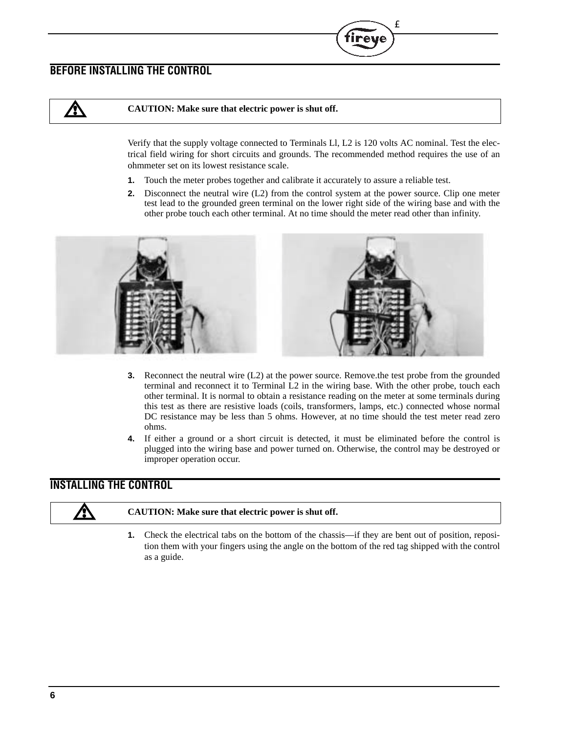## **BEFORE INSTALLING THE CONTROL**

**/}\** 

### **CAUTION: Make sure that electric power is shut off.**

Verify that the supply voltage connected to Terminals Ll, L2 is 120 volts AC nominal. Test the electrical field wiring for short circuits and grounds. The recommended method requires the use of an ohmmeter set on its lowest resistance scale.

T<sub>M</sub>

- **1.** Touch the meter probes together and calibrate it accurately to assure a reliable test.
- **2.** Disconnect the neutral wire (L2) from the control system at the power source. Clip one meter test lead to the grounded green terminal on the lower right side of the wiring base and with the other probe touch each other terminal. At no time should the meter read other than infinity.



- **3.** Reconnect the neutral wire (L2) at the power source. Remove.the test probe from the grounded terminal and reconnect it to Terminal L2 in the wiring base. With the other probe, touch each other terminal. It is normal to obtain a resistance reading on the meter at some terminals during this test as there are resistive loads (coils, transformers, lamps, etc.) connected whose normal DC resistance may be less than 5 ohms. However, at no time should the test meter read zero ohms.
- **4.** If either a ground or a short circuit is detected, it must be eliminated before the control is plugged into the wiring base and power turned on. Otherwise, the control may be destroyed or improper operation occur.

## **INSTALLING THE CONTROL**

#### **CAUTION: Make sure that electric power is shut off.**

**1.** Check the electrical tabs on the bottom of the chassis—if they are bent out of position, reposition them with your fingers using the angle on the bottom of the red tag shipped with the control as a guide.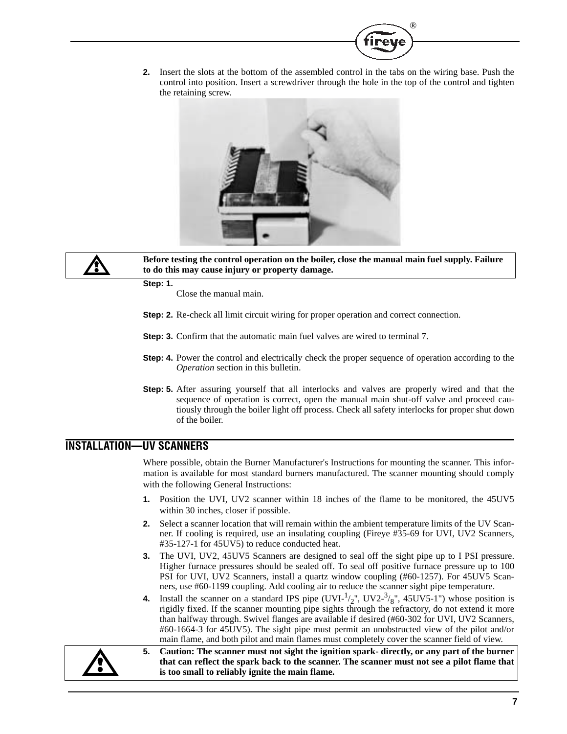

**2.** Insert the slots at the bottom of the assembled control in the tabs on the wiring base. Push the control into position. Insert a screwdriver through the hole in the top of the control and tighten the retaining screw.





**Before testing the control operation on the boiler, close the manual main fuel supply. Failure to do this may cause injury or property damage.**

**Step: 1.**

Close the manual main.

- **Step: 2.** Re-check all limit circuit wiring for proper operation and correct connection.
- **Step: 3.** Confirm that the automatic main fuel valves are wired to terminal 7.
- **Step: 4.** Power the control and electrically check the proper sequence of operation according to the *Operation* section in this bulletin.
- **Step: 5.** After assuring yourself that all interlocks and valves are properly wired and that the sequence of operation is correct, open the manual main shut-off valve and proceed cautiously through the boiler light off process. Check all safety interlocks for proper shut down of the boiler.

### **INSTALLATION—UV SCANNERS**

Where possible, obtain the Burner Manufacturer's Instructions for mounting the scanner. This information is available for most standard burners manufactured. The scanner mounting should comply with the following General Instructions:

- **1.** Position the UVI, UV2 scanner within 18 inches of the flame to be monitored, the 45UV5 within 30 inches, closer if possible.
- **2.** Select a scanner location that will remain within the ambient temperature limits of the UV Scanner. If cooling is required, use an insulating coupling (Fireye #35-69 for UVI, UV2 Scanners, #35-127-1 for 45UV5) to reduce conducted heat.
- **3.** The UVI, UV2, 45UV5 Scanners are designed to seal off the sight pipe up to I PSI pressure. Higher furnace pressures should be sealed off. To seal off positive furnace pressure up to 100 PSI for UVI, UV2 Scanners, install a quartz window coupling (#60-1257). For 45UV5 Scanners, use #60-1199 coupling. Add cooling air to reduce the scanner sight pipe temperature.
- **4.** Install the scanner on a standard IPS pipe  $(UVI^{-1/2}$ ,  $UV2^{-3/8}$ , 45UV5-1") whose position is rigidly fixed. If the scanner mounting pipe sights through the refractory, do not extend it more than halfway through. Swivel flanges are available if desired (#60-302 for UVI, UV2 Scanners, #60-1664-3 for 45UV5). The sight pipe must permit an unobstructed view of the pilot and/or main flame, and both pilot and main flames must completely cover the scanner field of view.



**5. Caution: The scanner must not sight the ignition spark- directly, or any part of the burner that can reflect the spark back to the scanner. The scanner must not see a pilot flame that is too small to reliably ignite the main flame.**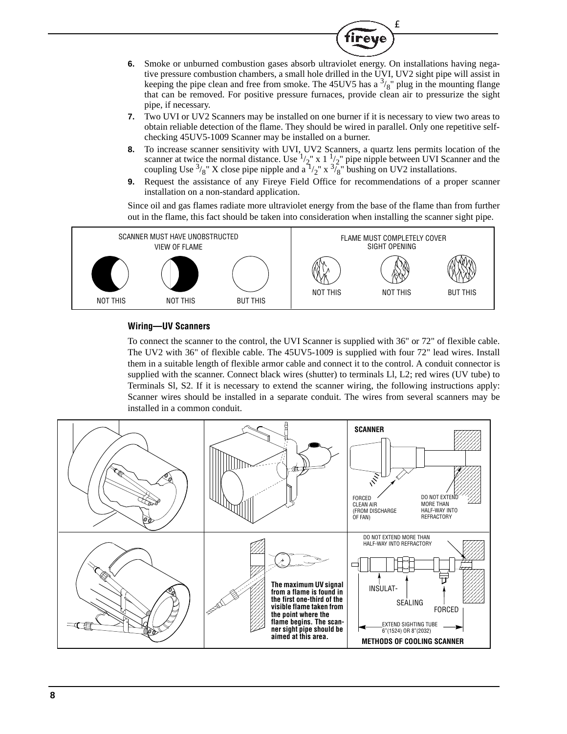**6.** Smoke or unburned combustion gases absorb ultraviolet energy. On installations having negative pressure combustion chambers, a small hole drilled in the UVI, UV2 sight pipe will assist in keeping the pipe clean and free from smoke. The 45UV5 has a  $\frac{3}{8}$ " plug in the mounting flange that can be removed. For positive pressure furnaces, provide clean air to pressurize the sight pipe, if necessary.

T<sub>M</sub>

reve

- **7.** Two UVI or UV2 Scanners may be installed on one burner if it is necessary to view two areas to obtain reliable detection of the flame. They should be wired in parallel. Only one repetitive selfchecking 45UV5-1009 Scanner may be installed on a burner.
- **8.** To increase scanner sensitivity with UVI, UV2 Scanners, a quartz lens permits location of the scanner at twice the normal distance. Use  $\frac{1}{2}$  x 1  $\frac{1}{2}$  pipe nipple between UVI Scanner and the coupling Use  $\frac{3}{8}$ " X close pipe nipple and  $a^{\frac{1}{2}}$ " x  $\frac{3}{8}$ " bushing on UV2 installations.
- **9.** Request the assistance of any Fireye Field Office for recommendations of a proper scanner installation on a non-standard application.

Since oil and gas flames radiate more ultraviolet energy from the base of the flame than from further out in the flame, this fact should be taken into consideration when installing the scanner sight pipe.



### **Wiring—UV Scanners**

To connect the scanner to the control, the UVI Scanner is supplied with 36" or 72" of flexible cable. The UV2 with 36" of flexible cable. The 45UV5-1009 is supplied with four 72" lead wires. Install them in a suitable length of flexible armor cable and connect it to the control. A conduit connector is supplied with the scanner. Connect black wires (shutter) to terminals Ll, L2; red wires (UV tube) to Terminals Sl, S2. If it is necessary to extend the scanner wiring, the following instructions apply: Scanner wires should be installed in a separate conduit. The wires from several scanners may be installed in a common conduit.

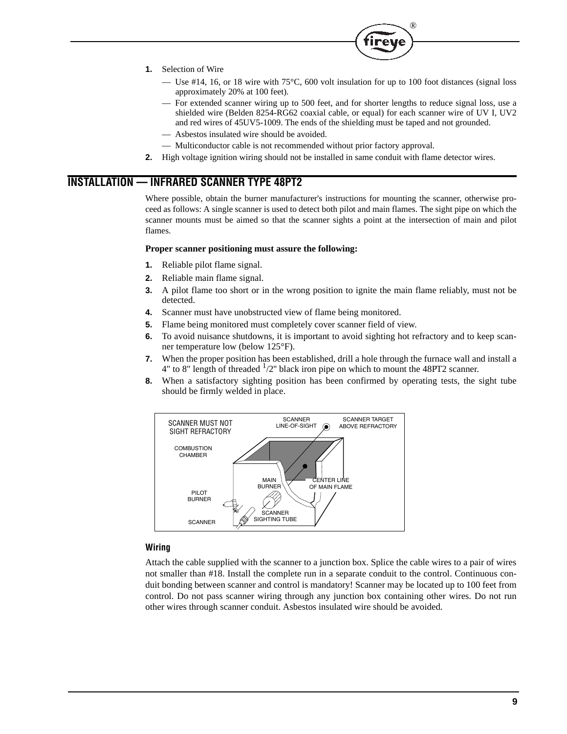

- **1.** Selection of Wire
	- Use #14, 16, or 18 wire with 75°C, 600 volt insulation for up to 100 foot distances (signal loss approximately 20% at 100 feet).
	- For extended scanner wiring up to 500 feet, and for shorter lengths to reduce signal loss, use a shielded wire (Belden 8254-RG62 coaxial cable, or equal) for each scanner wire of UV I, UV2 and red wires of 45UV5-1009. The ends of the shielding must be taped and not grounded.
	- Asbestos insulated wire should be avoided.
	- Multiconductor cable is not recommended without prior factory approval.
- **2.** High voltage ignition wiring should not be installed in same conduit with flame detector wires.

## **INSTALLATION — INFRARED SCANNER TYPE 48PT2**

Where possible, obtain the burner manufacturer's instructions for mounting the scanner, otherwise proceed as follows: A single scanner is used to detect both pilot and main flames. The sight pipe on which the scanner mounts must be aimed so that the scanner sights a point at the intersection of main and pilot flames.

#### **Proper scanner positioning must assure the following:**

- **1.** Reliable pilot flame signal.
- **2.** Reliable main flame signal.
- **3.** A pilot flame too short or in the wrong position to ignite the main flame reliably, must not be detected.
- **4.** Scanner must have unobstructed view of flame being monitored.
- **5.** Flame being monitored must completely cover scanner field of view.
- **6.** To avoid nuisance shutdowns, it is important to avoid sighting hot refractory and to keep scanner temperature low (below 125°F).
- **7.** When the proper position has been established, drill a hole through the furnace wall and install a 4" to 8" length of threaded  $\frac{1}{2}$ " black iron pipe on which to mount the 48PT2 scanner.
- **8.** When a satisfactory sighting position has been confirmed by operating tests, the sight tube should be firmly welded in place.



### **Wiring**

Attach the cable supplied with the scanner to a junction box. Splice the cable wires to a pair of wires not smaller than #18. Install the complete run in a separate conduit to the control. Continuous conduit bonding between scanner and control is mandatory! Scanner may be located up to 100 feet from control. Do not pass scanner wiring through any junction box containing other wires. Do not run other wires through scanner conduit. Asbestos insulated wire should be avoided.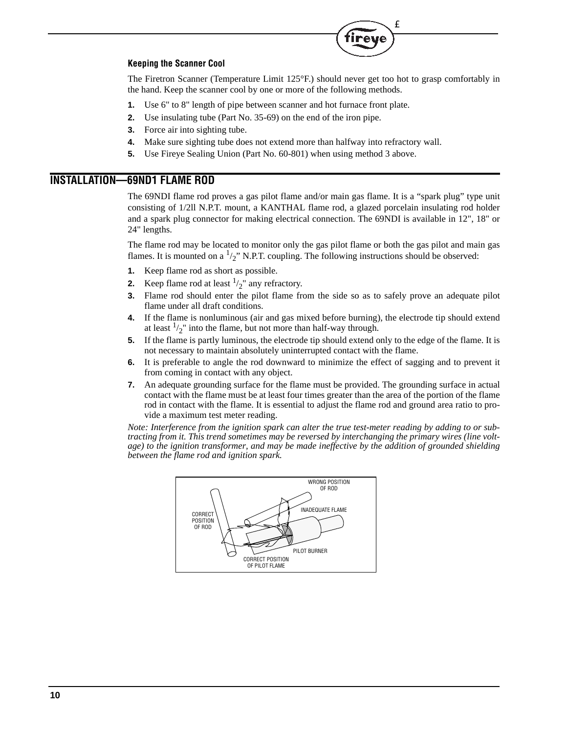#### **Keeping the Scanner Cool**

The Firetron Scanner (Temperature Limit 125°F.) should never get too hot to grasp comfortably in the hand. Keep the scanner cool by one or more of the following methods.

T<sub>M</sub>

- **1.** Use 6" to 8" length of pipe between scanner and hot furnace front plate.
- **2.** Use insulating tube (Part No. 35-69) on the end of the iron pipe.
- **3.** Force air into sighting tube.
- **4.** Make sure sighting tube does not extend more than halfway into refractory wall.
- **5.** Use Fireye Sealing Union (Part No. 60-801) when using method 3 above.

## **INSTALLATION—69ND1 FLAME ROD**

The 69NDI flame rod proves a gas pilot flame and/or main gas flame. It is a "spark plug" type unit consisting of 1/2ll N.P.T. mount, a KANTHAL flame rod, a glazed porcelain insulating rod holder and a spark plug connector for making electrical connection. The 69NDI is available in 12", 18" or 24" lengths.

The flame rod may be located to monitor only the gas pilot flame or both the gas pilot and main gas flames. It is mounted on a  $\frac{1}{2}$ " N.P.T. coupling. The following instructions should be observed:

- **1.** Keep flame rod as short as possible.
- **2.** Keep flame rod at least  $\frac{1}{2}$ " any refractory.
- **3.** Flame rod should enter the pilot flame from the side so as to safely prove an adequate pilot flame under all draft conditions.
- **4.** If the flame is nonluminous (air and gas mixed before burning), the electrode tip should extend at least  $\frac{1}{2}$ " into the flame, but not more than half-way through.
- **5.** If the flame is partly luminous, the electrode tip should extend only to the edge of the flame. It is not necessary to maintain absolutely uninterrupted contact with the flame.
- **6.** It is preferable to angle the rod downward to minimize the effect of sagging and to prevent it from coming in contact with any object.
- **7.** An adequate grounding surface for the flame must be provided. The grounding surface in actual contact with the flame must be at least four times greater than the area of the portion of the flame rod in contact with the flame. It is essential to adjust the flame rod and ground area ratio to provide a maximum test meter reading.

*Note: Interference from the ignition spark can alter the true test-meter reading by adding to or subtracting from it. This trend sometimes may be reversed by interchanging the primary wires (line voltage) to the ignition transformer, and may be made ineffective by the addition of grounded shielding between the flame rod and ignition spark.*

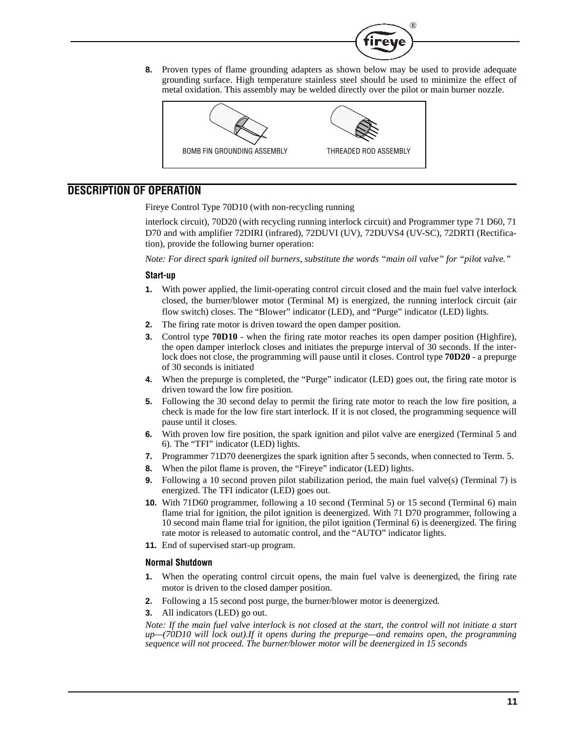**8.** Proven types of flame grounding adapters as shown below may be used to provide adequate grounding surface. High temperature stainless steel should be used to minimize the effect of metal oxidation. This assembly may be welded directly over the pilot or main burner nozzle.

®

ireu



## **DESCRIPTION OF OPERATION**

Fireye Control Type 70D10 (with non-recycling running

interlock circuit), 70D20 (with recycling running interlock circuit) and Programmer type 71 D60, 71 D70 and with amplifier 72DIRI (infrared), 72DUVI (UV), 72DUVS4 (UV-SC), 72DRTI (Rectification), provide the following burner operation:

*Note: For direct spark ignited oil burners, substitute the words "main oil valve" for "pilot valve."*

#### **Start-up**

- **1.** With power applied, the limit-operating control circuit closed and the main fuel valve interlock closed, the burner/blower motor (Terminal M) is energized, the running interlock circuit (air flow switch) closes. The "Blower" indicator (LED), and "Purge" indicator (LED) lights.
- **2.** The firing rate motor is driven toward the open damper position.
- **3.** Control type **70D10**  when the firing rate motor reaches its open damper position (Highfire), the open damper interlock closes and initiates the prepurge interval of 30 seconds. If the interlock does not close, the programming will pause until it closes. Control type **70D20** - a prepurge of 30 seconds is initiated
- **4.** When the prepurge is completed, the "Purge" indicator (LED) goes out, the firing rate motor is driven toward the low fire position.
- **5.** Following the 30 second delay to permit the firing rate motor to reach the low fire position, a check is made for the low fire start interlock. If it is not closed, the programming sequence will pause until it closes.
- **6.** With proven low fire position, the spark ignition and pilot valve are energized (Terminal 5 and 6). The "TFI" indicator (LED) lights.
- **7.** Programmer 71D70 deenergizes the spark ignition after 5 seconds, when connected to Term. 5.
- **8.** When the pilot flame is proven, the "Fireye" indicator (LED) lights.
- **9.** Following a 10 second proven pilot stabilization period, the main fuel valve(s) (Terminal 7) is energized. The TFI indicator (LED) goes out.
- **10.** With 71D60 programmer, following a 10 second (Terminal 5) or 15 second (Terminal 6) main flame trial for ignition, the pilot ignition is deenergized. With 71 D70 programmer, following a 10 second main flame trial for ignition, the pilot ignition (Terminal 6) is deenergized. The firing rate motor is released to automatic control, and the "AUTO" indicator lights.
- **11.** End of supervised start-up program.

#### **Normal Shutdown**

- **1.** When the operating control circuit opens, the main fuel valve is deenergized, the firing rate motor is driven to the closed damper position.
- **2.** Following a 15 second post purge, the burner/blower motor is deenergized.
- **3.** All indicators (LED) go out.

*Note: If the main fuel valve interlock is not closed at the start, the control will not initiate a start up—(70D10 will lock out).If it opens during the prepurge—and remains open, the programming sequence will not proceed. The burner/blower motor will be deenergized in 15 seconds*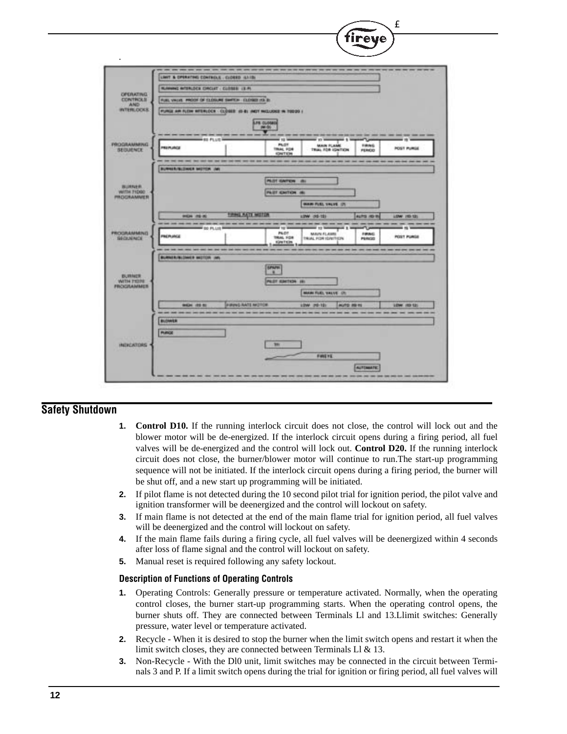

### **Safety Shutdown**

- **1. Control D10.** If the running interlock circuit does not close, the control will lock out and the blower motor will be de-energized. If the interlock circuit opens during a firing period, all fuel valves will be de-energized and the control will lock out. **Control D20.** If the running interlock circuit does not close, the burner/blower motor will continue to run.The start-up programming sequence will not be initiated. If the interlock circuit opens during a firing period, the burner will be shut off, and a new start up programming will be initiated.
- **2.** If pilot flame is not detected during the 10 second pilot trial for ignition period, the pilot valve and ignition transformer will be deenergized and the control will lockout on safety.
- **3.** If main flame is not detected at the end of the main flame trial for ignition period, all fuel valves will be deenergized and the control will lockout on safety.
- **4.** If the main flame fails during a firing cycle, all fuel valves will be deenergized within 4 seconds after loss of flame signal and the control will lockout on safety.
- **5.** Manual reset is required following any safety lockout.

### **Description of Functions of Operating Controls**

- **1.** Operating Controls: Generally pressure or temperature activated. Normally, when the operating control closes, the burner start-up programming starts. When the operating control opens, the burner shuts off. They are connected between Terminals Ll and 13.Llimit switches: Generally pressure, water level or temperature activated.
- **2.** Recycle When it is desired to stop the burner when the limit switch opens and restart it when the limit switch closes, they are connected between Terminals Ll & 13.
- **3.** Non-Recycle With the Dl0 unit, limit switches may be connected in the circuit between Terminals 3 and P. If a limit switch opens during the trial for ignition or firing period, all fuel valves will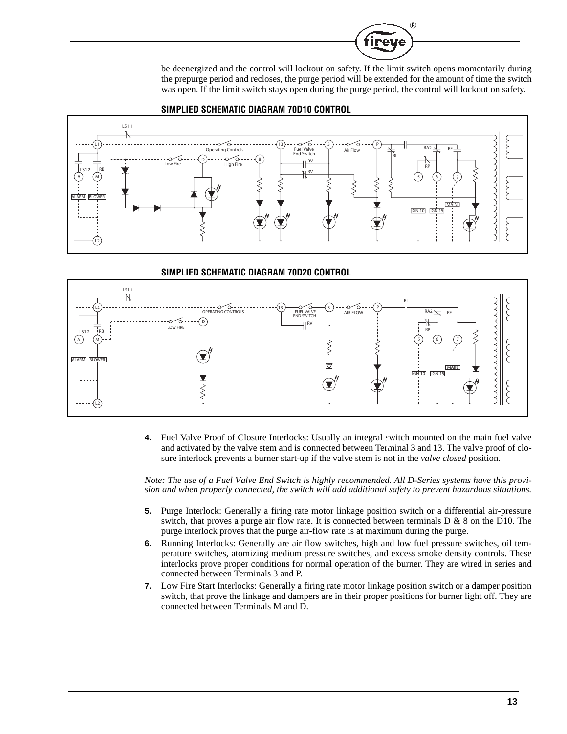

be deenergized and the control will lockout on safety. If the limit switch opens momentarily during the prepurge period and recloses, the purge period will be extended for the amount of time the switch was open. If the limit switch stays open during the purge period, the control will lockout on safety.





#### **SIMPLIED SCHEMATIC DIAGRAM 70D20 CONTROL**



**4.** Fuel Valve Proof of Closure Interlocks: Usually an integral switch mounted on the main fuel valve and activated by the valve stem and is connected between Terminal 3 and 13. The valve proof of closure interlock prevents a burner start-up if the valve stem is not in the *valve closed* position.

*Note: The use of a Fuel Valve End Switch is highly recommended. All D-Series systems have this provision and when properly connected, the switch will add additional safety to prevent hazardous situations.*

- **5.** Purge Interlock: Generally a firing rate motor linkage position switch or a differential air-pressure switch, that proves a purge air flow rate. It is connected between terminals  $D \& 8$  on the D10. The purge interlock proves that the purge air-flow rate is at maximum during the purge.
- **6.** Running Interlocks: Generally are air flow switches, high and low fuel pressure switches, oil temperature switches, atomizing medium pressure switches, and excess smoke density controls. These interlocks prove proper conditions for normal operation of the burner. They are wired in series and connected between Terminals 3 and P.
- **7.** Low Fire Start Interlocks: Generally a firing rate motor linkage position switch or a damper position switch, that prove the linkage and dampers are in their proper positions for burner light off. They are connected between Terminals M and D.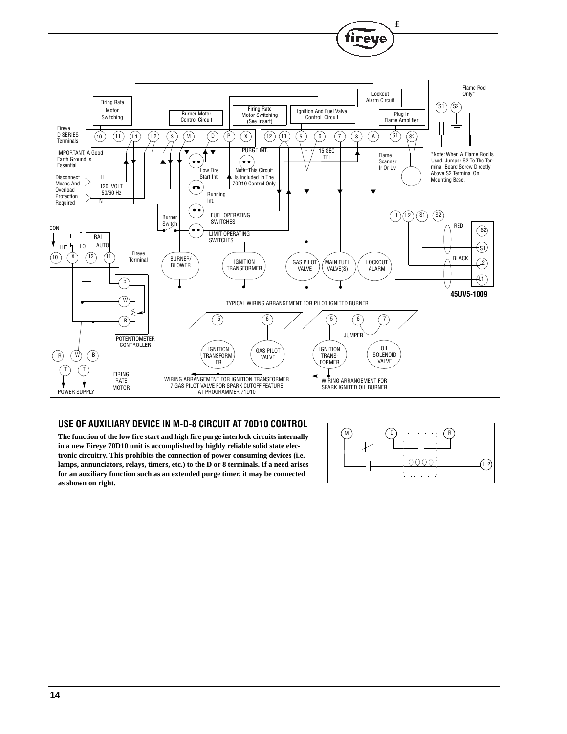

#### **USE OF AUXILIARY DEVICE IN M-D-8 CIRCUIT AT 70D10 CONTROL**

**The function of the low fire start and high fire purge interlock circuits internally in a new Fireye 70D10 unit is accomplished by highly reliable solid state electronic circuitry. This prohibits the connection of power consuming devices (i.e. lamps, annunciators, relays, timers, etc.) to the D or 8 terminals. If a need arises for an auxiliary function such as an extended purge timer, it may be connected as shown on right.**



T<sub>M</sub>

reve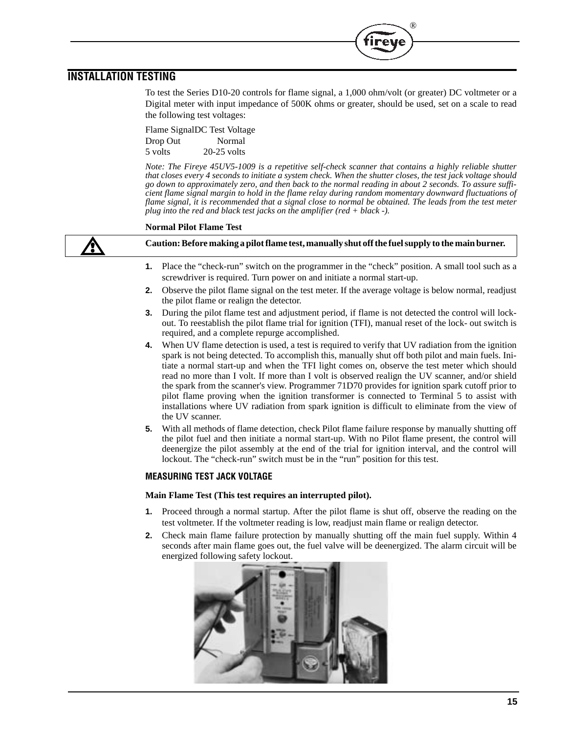## **INSTALLATION TESTING**

To test the Series D10-20 controls for flame signal, a 1,000 ohm/volt (or greater) DC voltmeter or a Digital meter with input impedance of 500K ohms or greater, should be used, set on a scale to read the following test voltages:

®

Flame SignalDC Test Voltage Drop Out Normal 5 volts 20-25 volts

*Note: The Fireye 45UV5-1009 is a repetitive self-check scanner that contains a highly reliable shutter that closes every 4 seconds to initiate a system check. When the shutter closes, the test jack voltage should go down to approximately zero, and then back to the normal reading in about 2 seconds. To assure sufficient flame signal margin to hold in the flame relay during random momentary downward fluctuations of flame signal, it is recommended that a signal close to normal be obtained. The leads from the test meter plug into the red and black test jacks on the amplifier (red + black -).*

#### **Normal Pilot Flame Test**

**Caution: Before making a pilot flame test, manually shut off the fuel supply to the main burner.**

- **1.** Place the "check-run" switch on the programmer in the "check" position. A small tool such as a screwdriver is required. Turn power on and initiate a normal start-up.
- **2.** Observe the pilot flame signal on the test meter. If the average voltage is below normal, readjust the pilot flame or realign the detector.
- **3.** During the pilot flame test and adjustment period, if flame is not detected the control will lockout. To reestablish the pilot flame trial for ignition (TFI), manual reset of the lock- out switch is required, and a complete repurge accomplished.
- **4.** When UV flame detection is used, a test is required to verify that UV radiation from the ignition spark is not being detected. To accomplish this, manually shut off both pilot and main fuels. Initiate a normal start-up and when the TFI light comes on, observe the test meter which should read no more than I volt. If more than I volt is observed realign the UV scanner, and/or shield the spark from the scanner's view. Programmer 71D70 provides for ignition spark cutoff prior to pilot flame proving when the ignition transformer is connected to Terminal 5 to assist with installations where UV radiation from spark ignition is difficult to eliminate from the view of the UV scanner.
- **5.** With all methods of flame detection, check Pilot flame failure response by manually shutting off the pilot fuel and then initiate a normal start-up. With no Pilot flame present, the control will deenergize the pilot assembly at the end of the trial for ignition interval, and the control will lockout. The "check-run" switch must be in the "run" position for this test.

#### **MEASURING TEST JACK VOLTAGE**

#### **Main Flame Test (This test requires an interrupted pilot).**

- **1.** Proceed through a normal startup. After the pilot flame is shut off, observe the reading on the test voltmeter. If the voltmeter reading is low, readjust main flame or realign detector.
- **2.** Check main flame failure protection by manually shutting off the main fuel supply. Within 4 seconds after main flame goes out, the fuel valve will be deenergized. The alarm circuit will be energized following safety lockout.

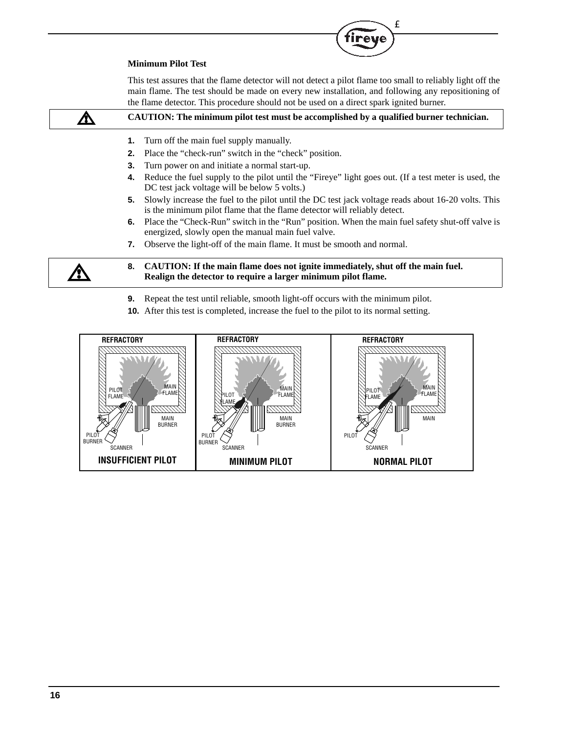#### **Minimum Pilot Test**

This test assures that the flame detector will not detect a pilot flame too small to reliably light off the main flame. The test should be made on every new installation, and following any repositioning of the flame detector. This procedure should not be used on a direct spark ignited burner.

TM

tireye

|    | CAUTION: The minimum pilot test must be accomplished by a qualified burner technician.                                                                                         |
|----|--------------------------------------------------------------------------------------------------------------------------------------------------------------------------------|
| 1. | Turn off the main fuel supply manually.                                                                                                                                        |
| 2. | Place the "check-run" switch in the "check" position.                                                                                                                          |
| 3. | Turn power on and initiate a normal start-up.                                                                                                                                  |
| 4. | Reduce the fuel supply to the pilot until the "Fireye" light goes out. (If a test meter is used, the<br>DC test jack voltage will be below 5 volts.)                           |
| 5. | Slowly increase the fuel to the pilot until the DC test jack voltage reads about 16-20 volts. This<br>is the minimum pilot flame that the flame detector will reliably detect. |
|    | 6. Place the "Check-Run" switch in the "Run" position. When the main fuel safety shut-off valve is<br>energized, slowly open the manual main fuel valve.                       |
| 7. | Observe the light-off of the main flame. It must be smooth and normal.                                                                                                         |
|    | 8. CAUTION: If the main flame does not ignite immediately, shut off the main fuel.<br>Realign the detector to require a larger minimum pilot flame.                            |
|    |                                                                                                                                                                                |

- **9.** Repeat the test until reliable, smooth light-off occurs with the minimum pilot.
- **10.** After this test is completed, increase the fuel to the pilot to its normal setting.

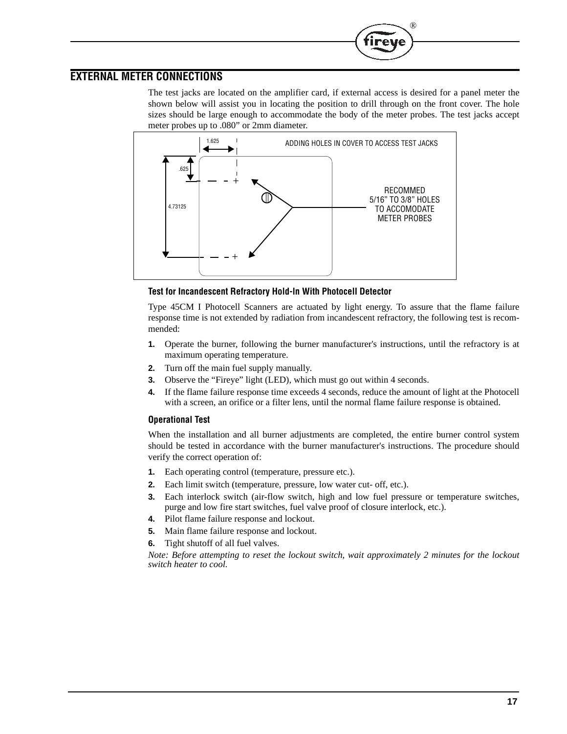### **EXTERNAL METER CONNECTIONS**

The test jacks are located on the amplifier card, if external access is desired for a panel meter the shown below will assist you in locating the position to drill through on the front cover. The hole sizes should be large enough to accommodate the body of the meter probes. The test jacks accept meter probes up to .080" or 2mm diameter.

®

ıreı



#### **Test for Incandescent Refractory Hold-ln With Photocell Detector**

Type 45CM I Photocell Scanners are actuated by light energy. To assure that the flame failure response time is not extended by radiation from incandescent refractory, the following test is recommended:

- **1.** Operate the burner, following the burner manufacturer's instructions, until the refractory is at maximum operating temperature.
- **2.** Turn off the main fuel supply manually.
- **3.** Observe the "Fireye" light (LED), which must go out within 4 seconds.
- **4.** If the flame failure response time exceeds 4 seconds, reduce the amount of light at the Photocell with a screen, an orifice or a filter lens, until the normal flame failure response is obtained.

#### **Operational Test**

When the installation and all burner adjustments are completed, the entire burner control system should be tested in accordance with the burner manufacturer's instructions. The procedure should verify the correct operation of:

- **1.** Each operating control (temperature, pressure etc.).
- **2.** Each limit switch (temperature, pressure, low water cut- off, etc.).
- **3.** Each interlock switch (air-flow switch, high and low fuel pressure or temperature switches, purge and low fire start switches, fuel valve proof of closure interlock, etc.).
- **4.** Pilot flame failure response and lockout.
- **5.** Main flame failure response and lockout.
- **6.** Tight shutoff of all fuel valves.

*Note: Before attempting to reset the lockout switch, wait approximately 2 minutes for the lockout switch heater to cool.*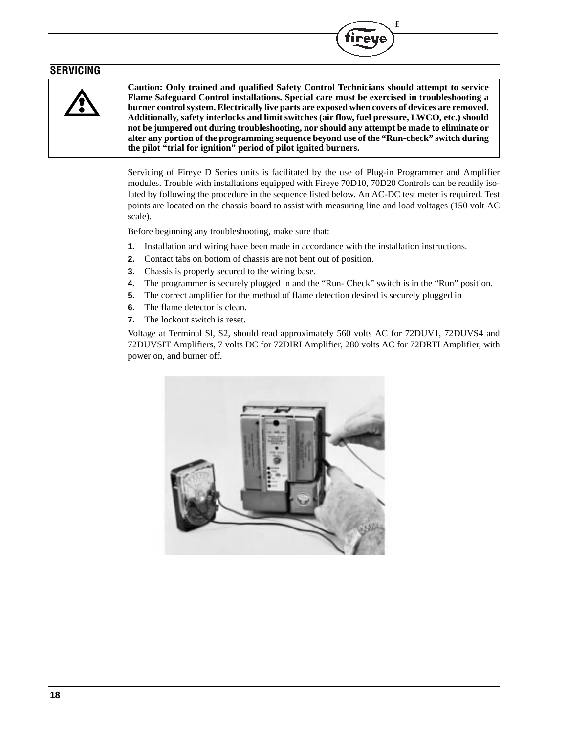### **SERVICING**



**Caution: Only trained and qualified Safety Control Technicians should attempt to service Flame Safeguard Control installations. Special care must be exercised in troubleshooting a burner control system. Electrically live parts are exposed when covers of devices are removed. Additionally, safety interlocks and limit switches (air flow, fuel pressure, LWCO, etc.) should not be jumpered out during troubleshooting, nor should any attempt be made to eliminate or alter any portion of the programming sequence beyond use of the "Run-check" switch during the pilot "trial for ignition" period of pilot ignited burners.**

T<sub>M</sub>

irey

Servicing of Fireye D Series units is facilitated by the use of Plug-in Programmer and Amplifier modules. Trouble with installations equipped with Fireye 70D10, 70D20 Controls can be readily isolated by following the procedure in the sequence listed below. An AC-DC test meter is required. Test points are located on the chassis board to assist with measuring line and load voltages (150 volt AC scale).

Before beginning any troubleshooting, make sure that:

- **1.** Installation and wiring have been made in accordance with the installation instructions.
- **2.** Contact tabs on bottom of chassis are not bent out of position.
- **3.** Chassis is properly secured to the wiring base.
- **4.** The programmer is securely plugged in and the "Run- Check" switch is in the "Run" position.
- **5.** The correct amplifier for the method of flame detection desired is securely plugged in
- **6.** The flame detector is clean.
- **7.** The lockout switch is reset.

Voltage at Terminal Sl, S2, should read approximately 560 volts AC for 72DUV1, 72DUVS4 and 72DUVSIT Amplifiers, 7 volts DC for 72DIRI Amplifier, 280 volts AC for 72DRTI Amplifier, with power on, and burner off.

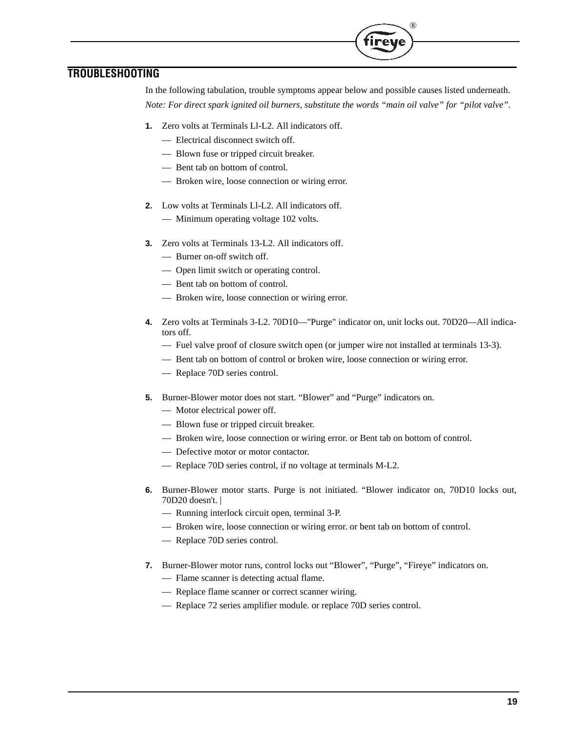## **TROUBLESHOOTING**

In the following tabulation, trouble symptoms appear below and possible causes listed underneath. *Note: For direct spark ignited oil burners, substitute the words "main oil valve" for "pilot valve".*

®

ireve

- **1.** Zero volts at Terminals Ll-L2. All indicators off.
	- Electrical disconnect switch off.
	- Blown fuse or tripped circuit breaker.
	- Bent tab on bottom of control.
	- Broken wire, loose connection or wiring error.
- **2.** Low volts at Terminals Ll-L2. All indicators off.
	- Minimum operating voltage 102 volts.
- **3.** Zero volts at Terminals 13-L2. All indicators off.
	- Burner on-off switch off.
	- Open limit switch or operating control.
	- Bent tab on bottom of control.
	- Broken wire, loose connection or wiring error.
- **4.** Zero volts at Terminals 3-L2. 70D10—"Purge" indicator on, unit locks out. 70D20—All indicators off.
	- Fuel valve proof of closure switch open (or jumper wire not installed at terminals 13-3).
	- Bent tab on bottom of control or broken wire, loose connection or wiring error.
	- Replace 70D series control.
- **5.** Burner-Blower motor does not start. "Blower" and "Purge" indicators on.
	- Motor electrical power off.
	- Blown fuse or tripped circuit breaker.
	- Broken wire, loose connection or wiring error. or Bent tab on bottom of control.
	- Defective motor or motor contactor.
	- Replace 70D series control, if no voltage at terminals M-L2.
- **6.** Burner-Blower motor starts. Purge is not initiated. "Blower indicator on, 70D10 locks out, 70D20 doesn't. |
	- Running interlock circuit open, terminal 3-P.
	- Broken wire, loose connection or wiring error. or bent tab on bottom of control.
	- Replace 70D series control.
- **7.** Burner-Blower motor runs, control locks out "Blower", "Purge", "Fireye" indicators on.
	- Flame scanner is detecting actual flame.
	- Replace flame scanner or correct scanner wiring.
	- Replace 72 series amplifier module. or replace 70D series control.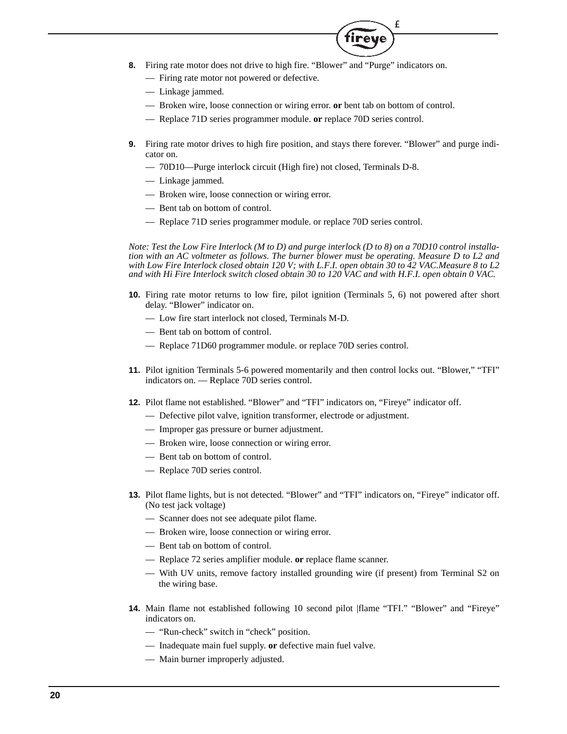- **8.** Firing rate motor does not drive to high fire. "Blower" and "Purge" indicators on.
	- Firing rate motor not powered or defective.
	- Linkage jammed.
	- Broken wire, loose connection or wiring error. **or** bent tab on bottom of control.
	- Replace 71D series programmer module. **or** replace 70D series control.
- **9.** Firing rate motor drives to high fire position, and stays there forever. "Blower" and purge indicator on.

T<sub>M</sub>

reve

- 70D10—Purge interlock circuit (High fire) not closed, Terminals D-8.
- Linkage jammed.
- Broken wire, loose connection or wiring error.
- Bent tab on bottom of control.
- Replace 71D series programmer module. or replace 70D series control.

*Note: Test the Low Fire Interlock (M to D) and purge interlock (D to 8) on a 70D10 control installation with an AC voltmeter as follows. The burner blower must be operating. Measure D to L2 and with Low Fire Interlock closed obtain 120 V; with L.F.I. open obtain 30 to 42 VAC.Measure 8 to L2 and with Hi Fire Interlock switch closed obtain 30 to 120 VAC and with H.F.I. open obtain 0 VAC.*

- **10.** Firing rate motor returns to low fire, pilot ignition (Terminals 5, 6) not powered after short delay. "Blower" indicator on.
	- Low fire start interlock not closed, Terminals M-D.
	- Bent tab on bottom of control.
	- Replace 71D60 programmer module. or replace 70D series control.
- **11.** Pilot ignition Terminals 5-6 powered momentarily and then control locks out. "Blower," "TFI" indicators on. — Replace 70D series control.
- **12.** Pilot flame not established. "Blower" and "TFI" indicators on, "Fireye" indicator off.
	- Defective pilot valve, ignition transformer, electrode or adjustment.
	- Improper gas pressure or burner adjustment.
	- Broken wire, loose connection or wiring error.
	- Bent tab on bottom of control.
	- Replace 70D series control.
- **13.** Pilot flame lights, but is not detected. "Blower" and "TFI" indicators on, "Fireye" indicator off. (No test jack voltage)
	- Scanner does not see adequate pilot flame.
	- Broken wire, loose connection or wiring error.
	- Bent tab on bottom of control.
	- Replace 72 series amplifier module. **or** replace flame scanner.
	- With UV units, remove factory installed grounding wire (if present) from Terminal S2 on the wiring base.
- **14.** Main flame not established following 10 second pilot |flame "TFI." "Blower" and "Fireye" indicators on.
	- "Run-check" switch in "check" position.
	- Inadequate main fuel supply. **or** defective main fuel valve.
	- Main burner improperly adjusted.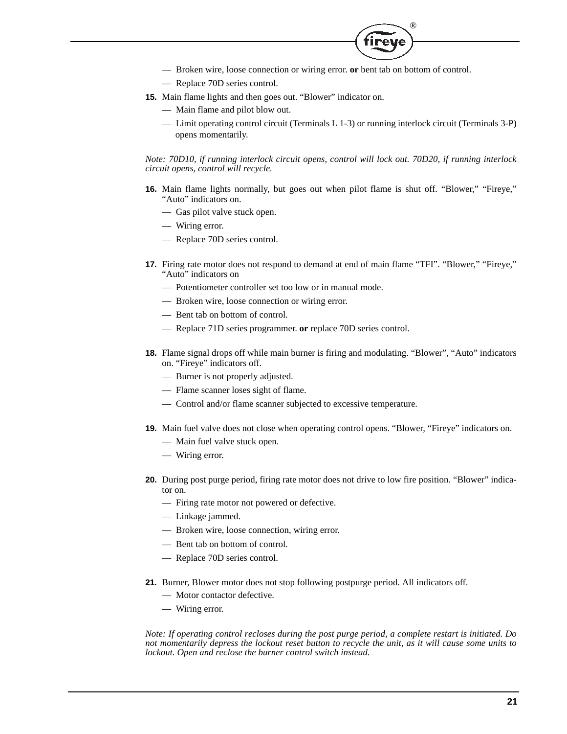

- Broken wire, loose connection or wiring error. **or** bent tab on bottom of control.
- Replace 70D series control.
- **15.** Main flame lights and then goes out. "Blower" indicator on.
	- Main flame and pilot blow out.
	- Limit operating control circuit (Terminals L 1-3) or running interlock circuit (Terminals 3-P) opens momentarily.

*Note: 70D10, if running interlock circuit opens, control will lock out. 70D20, if running interlock circuit opens, control will recycle.*

- **16.** Main flame lights normally, but goes out when pilot flame is shut off. "Blower," "Fireye," "Auto" indicators on.
	- Gas pilot valve stuck open.
	- Wiring error.
	- Replace 70D series control.
- **17.** Firing rate motor does not respond to demand at end of main flame "TFI". "Blower," "Fireye," "Auto" indicators on
	- Potentiometer controller set too low or in manual mode.
	- Broken wire, loose connection or wiring error.
	- Bent tab on bottom of control.
	- Replace 71D series programmer. **or** replace 70D series control.
- **18.** Flame signal drops off while main burner is firing and modulating. "Blower", "Auto" indicators on. "Fireye" indicators off.
	- Burner is not properly adjusted.
	- Flame scanner loses sight of flame.
	- Control and/or flame scanner subjected to excessive temperature.
- **19.** Main fuel valve does not close when operating control opens. "Blower, "Fireye" indicators on.
	- Main fuel valve stuck open.
	- Wiring error.
- **20.** During post purge period, firing rate motor does not drive to low fire position. "Blower" indicator on.
	- Firing rate motor not powered or defective.
	- Linkage jammed.
	- Broken wire, loose connection, wiring error.
	- Bent tab on bottom of control.
	- Replace 70D series control.
- **21.** Burner, Blower motor does not stop following postpurge period. All indicators off.
	- Motor contactor defective.
	- Wiring error.

*Note: If operating control recloses during the post purge period, a complete restart is initiated. Do not momentarily depress the lockout reset button to recycle the unit, as it will cause some units to lockout. Open and reclose the burner control switch instead.*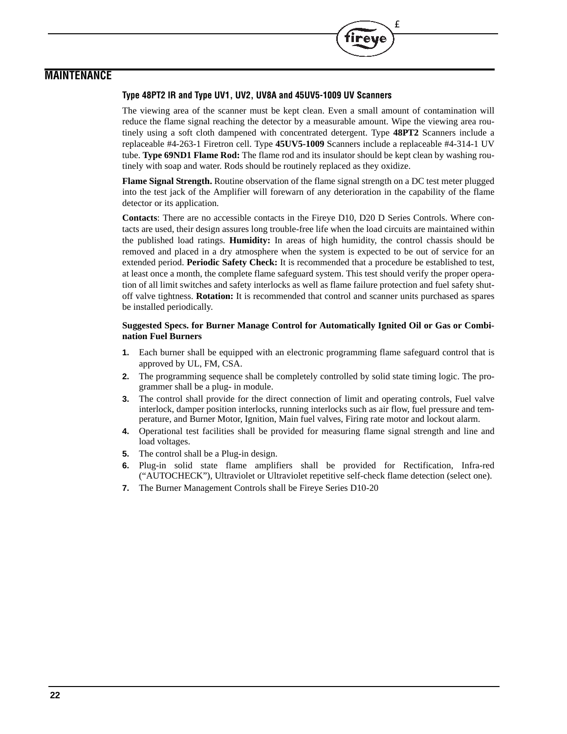### **MAINTENANCE**

#### **Type 48PT2 IR and Type UV1, UV2, UV8A and 45UV5-1009 UV Scanners**

The viewing area of the scanner must be kept clean. Even a small amount of contamination will reduce the flame signal reaching the detector by a measurable amount. Wipe the viewing area routinely using a soft cloth dampened with concentrated detergent. Type **48PT2** Scanners include a replaceable #4-263-1 Firetron cell. Type **45UV5-1009** Scanners include a replaceable #4-314-1 UV tube. **Type 69ND1 Flame Rod:** The flame rod and its insulator should be kept clean by washing routinely with soap and water. Rods should be routinely replaced as they oxidize.

T<sub>M</sub>

**Flame Signal Strength.** Routine observation of the flame signal strength on a DC test meter plugged into the test jack of the Amplifier will forewarn of any deterioration in the capability of the flame detector or its application.

**Contacts**: There are no accessible contacts in the Fireye D10, D20 D Series Controls. Where contacts are used, their design assures long trouble-free life when the load circuits are maintained within the published load ratings. **Humidity:** In areas of high humidity, the control chassis should be removed and placed in a dry atmosphere when the system is expected to be out of service for an extended period. **Periodic Safety Check:** It is recommended that a procedure be established to test, at least once a month, the complete flame safeguard system. This test should verify the proper operation of all limit switches and safety interlocks as well as flame failure protection and fuel safety shutoff valve tightness. **Rotation:** It is recommended that control and scanner units purchased as spares be installed periodically.

#### **Suggested Specs. for Burner Manage Control for Automatically Ignited Oil or Gas or Combination Fuel Burners**

- **1.** Each burner shall be equipped with an electronic programming flame safeguard control that is approved by UL, FM, CSA.
- **2.** The programming sequence shall be completely controlled by solid state timing logic. The programmer shall be a plug- in module.
- **3.** The control shall provide for the direct connection of limit and operating controls, Fuel valve interlock, damper position interlocks, running interlocks such as air flow, fuel pressure and temperature, and Burner Motor, Ignition, Main fuel valves, Firing rate motor and lockout alarm.
- **4.** Operational test facilities shall be provided for measuring flame signal strength and line and load voltages.
- **5.** The control shall be a Plug-in design.
- **6.** Plug-in solid state flame amplifiers shall be provided for Rectification, Infra-red ("AUTOCHECK"), Ultraviolet or Ultraviolet repetitive self-check flame detection (select one).
- **7.** The Burner Management Controls shall be Fireye Series D10-20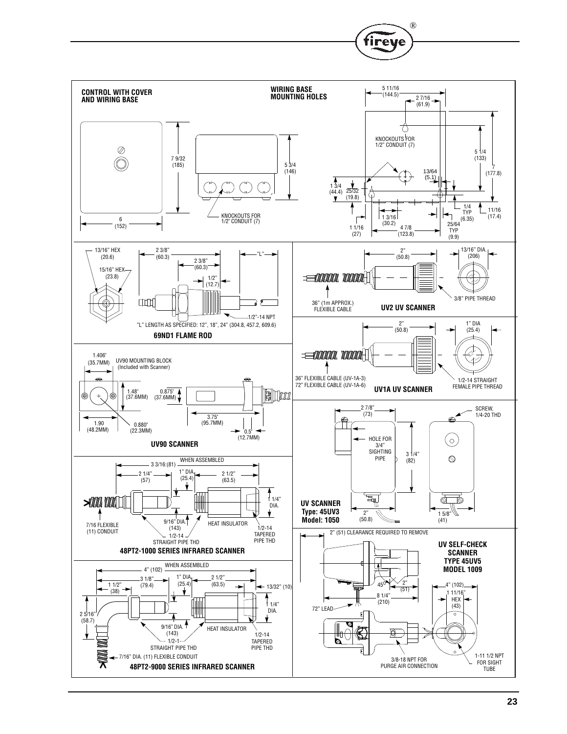

®

fireye